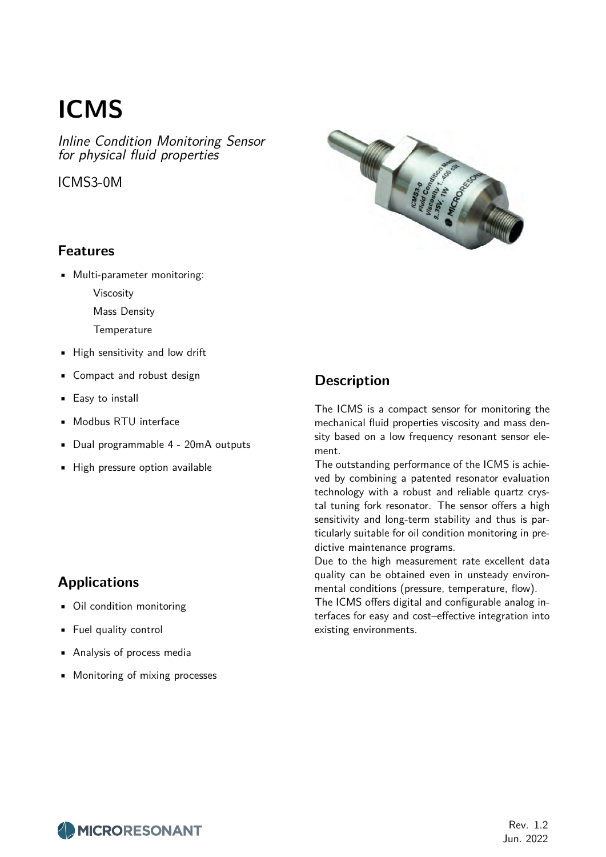# **ICMS**

Inline Condition Monitoring Sensor for physical fluid properties

ICMS3-0M



### **Features**

- Multi-parameter monitoring:
	- Viscosity
	- Mass Density
	- **Temperature**
- High sensitivity and low drift
- Compact and robust design
- Easy to install
- Modbus RTU interface
- Dual programmable 4 20mA outputs
- High pressure option available

### **Applications**

- Oil condition monitoring
- Fuel quality control
- Analysis of process media
- Monitoring of mixing processes

### **Description**

The ICMS is a compact sensor for monitoring the mechanical fluid properties viscosity and mass density based on a low frequency resonant sensor element.

The outstanding performance of the ICMS is achieved by combining a patented resonator evaluation technology with a robust and reliable quartz crystal tuning fork resonator. The sensor offers a high sensitivity and long-term stability and thus is particularly suitable for oil condition monitoring in predictive maintenance programs.

Due to the high measurement rate excellent data quality can be obtained even in unsteady environmental conditions (pressure, temperature, flow).

The ICMS offers digital and configurable analog interfaces for easy and cost–effective integration into existing environments.



Rev. 1.2 Jun. 2022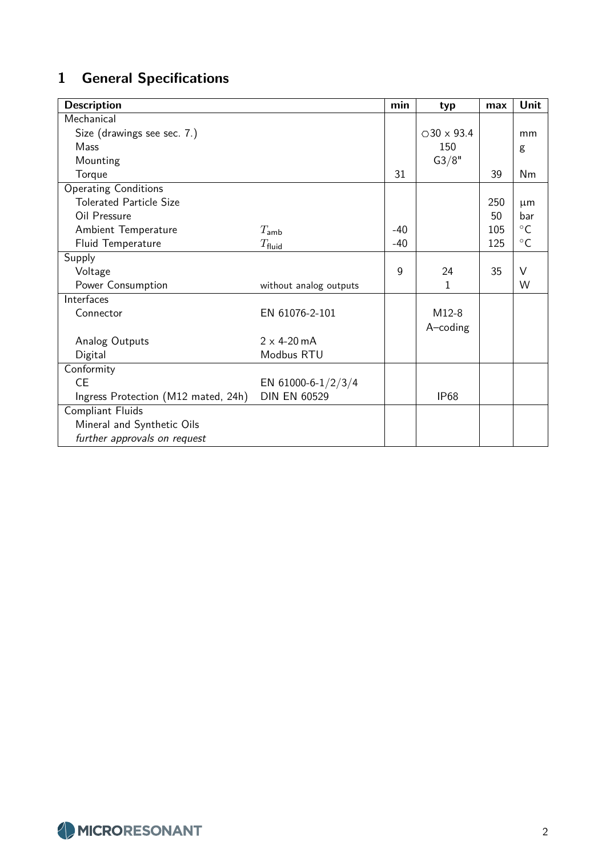# **1 General Specifications**

| <b>Description</b>                  |                        | min   | typ                  | max | Unit         |
|-------------------------------------|------------------------|-------|----------------------|-----|--------------|
| Mechanical                          |                        |       |                      |     |              |
| Size (drawings see sec. 7.)         |                        |       | $\bigcirc$ 30 x 93.4 |     | mm           |
| Mass                                |                        |       | 150                  |     | g            |
| Mounting                            |                        |       | G3/8"                |     |              |
| Torque                              |                        | 31    |                      | 39  | Nm           |
| <b>Operating Conditions</b>         |                        |       |                      |     |              |
| <b>Tolerated Particle Size</b>      |                        |       |                      | 250 | $\mu$ m      |
| Oil Pressure                        |                        |       |                      | 50  | bar          |
| Ambient Temperature                 | $T_{\mathsf{amb}}$     | $-40$ |                      | 105 | $^{\circ}$ C |
| Fluid Temperature                   | $T_{\mathsf{fluid}}$   | $-40$ |                      | 125 | $\circ$ C    |
| Supply                              |                        |       |                      |     |              |
| Voltage                             |                        | 9     | 24                   | 35  | $\vee$       |
| Power Consumption                   | without analog outputs |       | 1                    |     | W            |
| Interfaces                          |                        |       |                      |     |              |
| Connector                           | EN 61076-2-101         |       | M12-8                |     |              |
|                                     |                        |       | A-coding             |     |              |
| Analog Outputs                      | $2 \times 4 - 20$ mA   |       |                      |     |              |
| Digital                             | Modbus RTU             |       |                      |     |              |
| Conformity                          |                        |       |                      |     |              |
| <b>CE</b>                           | EN 61000-6-1/2/3/4     |       |                      |     |              |
| Ingress Protection (M12 mated, 24h) | <b>DIN EN 60529</b>    |       | <b>IP68</b>          |     |              |
| Compliant Fluids                    |                        |       |                      |     |              |
| Mineral and Synthetic Oils          |                        |       |                      |     |              |
| further approvals on request        |                        |       |                      |     |              |

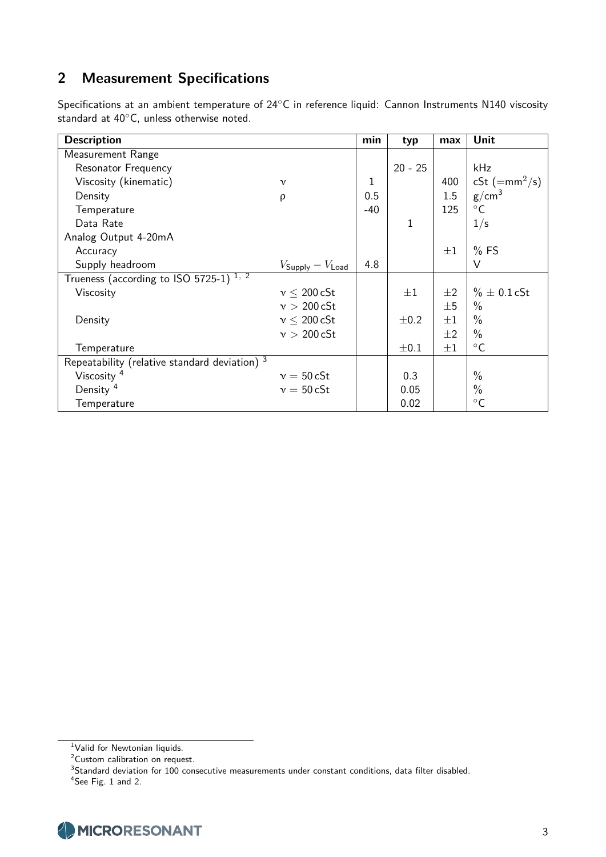## **2 Measurement Specifications**

Specifications at an ambient temperature of 24◦C in reference liquid: Cannon Instruments N140 viscosity standard at 40◦C, unless otherwise noted.

| <b>Description</b>                                 |                         | min   | typ          | max     | Unit                          |
|----------------------------------------------------|-------------------------|-------|--------------|---------|-------------------------------|
| Measurement Range                                  |                         |       |              |         |                               |
| Resonator Frequency                                |                         |       | $20 - 25$    |         | kHz                           |
| Viscosity (kinematic)                              | $\mathcal V$            | 1     |              | 400     | cSt $(=\text{mm}^2/\text{s})$ |
| Density                                            | ρ                       | 0.5   |              | 1.5     | g/cm <sup>3</sup>             |
| Temperature                                        |                         | $-40$ |              | 125     | $^{\circ}$ C                  |
| Data Rate                                          |                         |       | $\mathbf{1}$ |         | 1/s                           |
| Analog Output 4-20mA                               |                         |       |              |         |                               |
| Accuracy                                           |                         |       |              | $\pm 1$ | $%$ FS                        |
| Supply headroom                                    | $V_{Supply} - V_{Load}$ | 4.8   |              |         | V                             |
| Trueness (according to ISO 5725-1) <sup>1, 2</sup> |                         |       |              |         |                               |
| Viscosity                                          | $v \leq 200 c$ St       |       | $\pm 1$      | $\pm 2$ | $\% \pm 0.1$ cSt              |
|                                                    | v > 200 cSt             |       |              | $\pm 5$ | $\frac{0}{0}$                 |
| Density                                            | $v \leq 200$ cSt        |       | $\pm$ 0.2    | $\pm 1$ | $\frac{0}{0}$                 |
|                                                    | v > 200 cSt             |       |              | $\pm 2$ | $\%$                          |
| Temperature                                        |                         |       | $\pm 0.1$    | $\pm 1$ | $\circ$ C                     |
| Repeatability (relative standard deviation) 3      |                         |       |              |         |                               |
| Viscosity <sup>4</sup>                             | $v = 50 cSt$            |       | 0.3          |         | $\frac{0}{0}$                 |
| Density <sup>4</sup>                               | $v = 50 cSt$            |       | 0.05         |         | $\%$                          |
| Temperature                                        |                         |       | 0.02         |         | $^{\circ}$ C                  |

 $4$ See Fig. 1 and 2.



<sup>&</sup>lt;sup>1</sup>Valid for Newtonian liquids.

<sup>&</sup>lt;sup>2</sup>Custom calibration on request.

 ${}^{3}$ Standard deviation for 100 consecutive measurements under constant conditions, data filter disabled.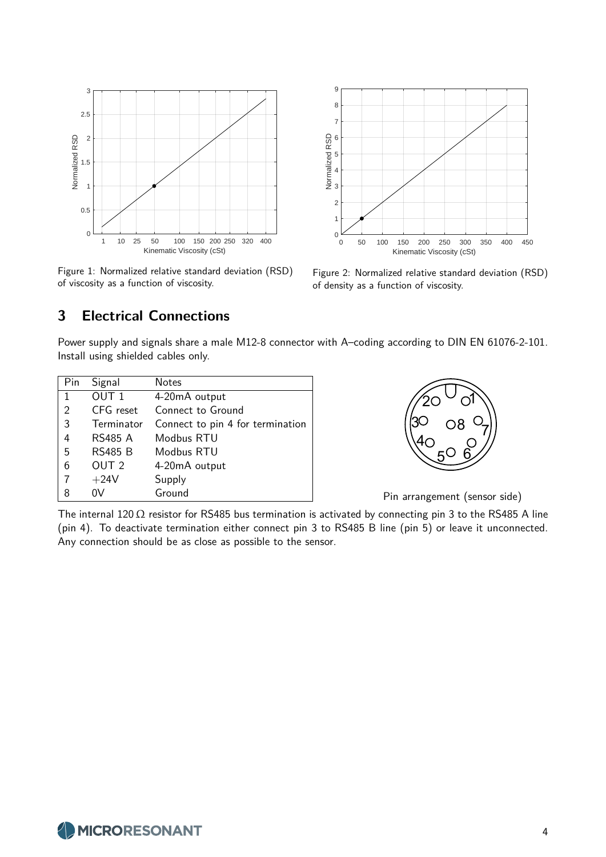

Figure 1: Normalized relative standard deviation (RSD) of viscosity as a function of viscosity.



Figure 2: Normalized relative standard deviation (RSD) of density as a function of viscosity.

### **3 Electrical Connections**

Power supply and signals share a male M12-8 connector with A–coding according to DIN EN 61076-2-101. Install using shielded cables only.

| Pin | Signal           | Notes                            |
|-----|------------------|----------------------------------|
| 1   | OUT <sub>1</sub> | 4-20mA output                    |
| 2   | CFG reset        | Connect to Ground                |
| 3   | Terminator       | Connect to pin 4 for termination |
| 4   | <b>RS485 A</b>   | Modbus RTU                       |
| 5   | <b>RS485 B</b>   | Modbus RTU                       |
| 6   | OUT <sub>2</sub> | 4-20mA output                    |
| 7   | $+24V$           | Supply                           |
| 8   | 0V               | Ground                           |



Pin arrangement (sensor side)

The internal 120  $\Omega$  resistor for RS485 bus termination is activated by connecting pin 3 to the RS485 A line (pin 4). To deactivate termination either connect pin 3 to RS485 B line (pin 5) or leave it unconnected. Any connection should be as close as possible to the sensor.

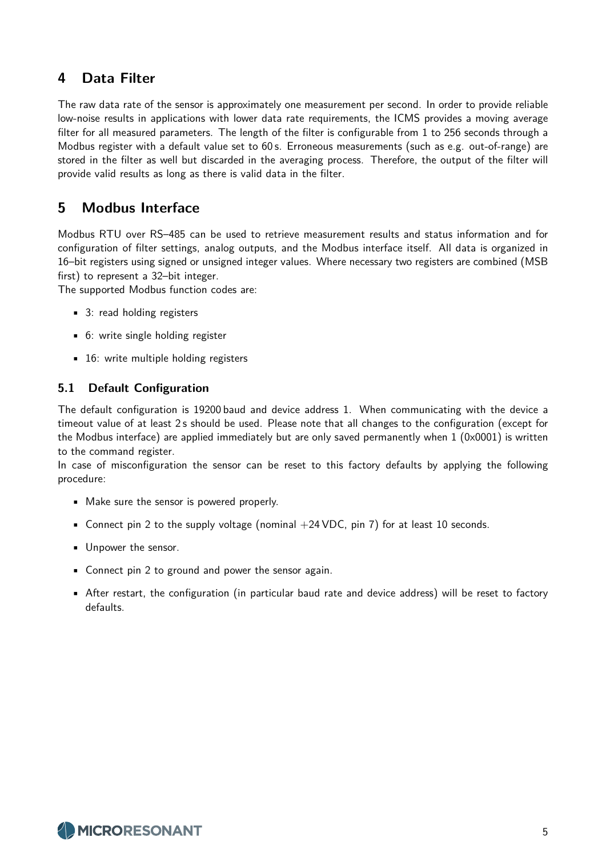### **4 Data Filter**

The raw data rate of the sensor is approximately one measurement per second. In order to provide reliable low-noise results in applications with lower data rate requirements, the ICMS provides a moving average filter for all measured parameters. The length of the filter is configurable from 1 to 256 seconds through a Modbus register with a default value set to 60 s. Erroneous measurements (such as e.g. out-of-range) are stored in the filter as well but discarded in the averaging process. Therefore, the output of the filter will provide valid results as long as there is valid data in the filter.

### **5 Modbus Interface**

Modbus RTU over RS–485 can be used to retrieve measurement results and status information and for configuration of filter settings, analog outputs, and the Modbus interface itself. All data is organized in 16–bit registers using signed or unsigned integer values. Where necessary two registers are combined (MSB first) to represent a 32–bit integer.

The supported Modbus function codes are:

- 3: read holding registers
- 6: write single holding register
- 16: write multiple holding registers

#### **5.1 Default Configuration**

The default configuration is 19200 baud and device address 1. When communicating with the device a timeout value of at least 2 s should be used. Please note that all changes to the configuration (except for the Modbus interface) are applied immediately but are only saved permanently when 1 (0x0001) is written to the command register.

In case of misconfiguration the sensor can be reset to this factory defaults by applying the following procedure:

- Make sure the sensor is powered properly.
- Connect pin 2 to the supply voltage (nominal  $+24 \text{ VDC}$ , pin 7) for at least 10 seconds.
- Unpower the sensor.
- Connect pin 2 to ground and power the sensor again.
- After restart, the configuration (in particular baud rate and device address) will be reset to factory defaults.

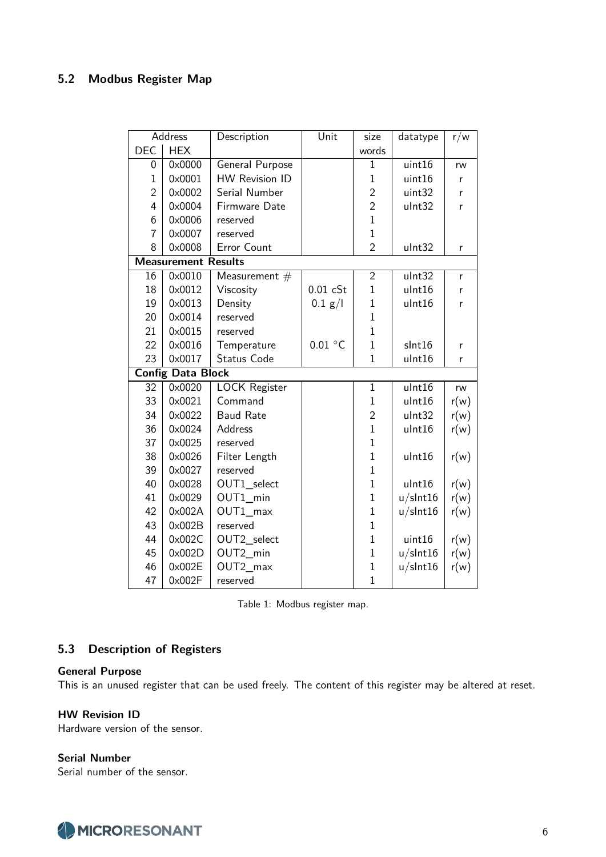### **5.2 Modbus Register Map**

|                | Address                    | Description            | Unit               | size           | datatype    | r/w  |
|----------------|----------------------------|------------------------|--------------------|----------------|-------------|------|
| <b>DEC</b>     | <b>HEX</b>                 |                        |                    | words          |             |      |
| 0              | 0x0000                     | General Purpose        |                    | $\mathbf 1$    | uint16      | rw   |
| $\mathbf{1}$   | 0x0001                     | <b>HW Revision ID</b>  |                    | $\mathbf{1}$   | uint16      | r    |
| $\overline{2}$ | 0×0002                     | Serial Number          |                    | $\overline{2}$ | uint32      | r    |
| 4              | 0x0004                     | Firmware Date          |                    | $\overline{2}$ | ulnt32      | r    |
| 6              | 0x0006                     | reserved               |                    | $\overline{1}$ |             |      |
| $\overline{7}$ | 0x0007                     | reserved               |                    | $\mathbf{1}$   |             |      |
| 8              | 0×0008                     | Error Count            |                    | $\overline{2}$ | ulnt32      | r    |
|                | <b>Measurement Results</b> |                        |                    |                |             |      |
| 16             | 0x0010                     | Measurement $#$        |                    | $\overline{2}$ | ulnt32      | r    |
| 18             | 0×0012                     | Viscosity              | 0.01 cSt           | $\mathbf{1}$   | ulnt16      | r    |
| 19             | 0×0013                     | Density                | 0.1 g/l            | $\mathbf{1}$   | ulnt16      | r    |
| 20             | 0×0014                     | reserved               |                    | $\mathbf{1}$   |             |      |
| 21             | 0×0015                     | reserved               |                    | $\overline{1}$ |             |      |
| 22             | 0x0016                     | Temperature            | $0.01\ ^{\circ}$ C | $\mathbf{1}$   | slnt16      | r    |
| 23             | 0x0017                     | Status Code            |                    | $\mathbf{1}$   | ulnt16      | r    |
|                | <b>Config Data Block</b>   |                        |                    |                |             |      |
| 32             | 0×0020                     | <b>LOCK Register</b>   |                    | $\mathbf{1}$   | ulnt16      | rw   |
| 33             | 0x0021                     | Command                |                    | $\mathbf 1$    | ulnt16      | r(w) |
| 34             | 0x0022                     | <b>Baud Rate</b>       |                    | $\overline{2}$ | ulnt32      | r(w) |
| 36             | 0x0024                     | Address                |                    | $\mathbf{1}$   | ulnt16      | r(w) |
| 37             | 0×0025                     | reserved               |                    | $\mathbf{1}$   |             |      |
| 38             | 0×0026                     | Filter Length          |                    | $\mathbf 1$    | ulnt16      | r(w) |
| 39             | 0x0027                     | reserved               |                    | $\overline{1}$ |             |      |
| 40             | 0×0028                     | OUT1_select            |                    | $\mathbf 1$    | ulnt16      | r(w) |
| 41             | 0×0029                     | OUT1_min               |                    | $\mathbf{1}$   | $u/s$ Int16 | r(w) |
| 42             | 0x002A                     | $OUT1$ <sub>_max</sub> |                    | $\mathbf 1$    | $u$ /slnt16 | r(w) |
| 43             | 0x002B                     | reserved               |                    | $\mathbf{1}$   |             |      |
| 44             | 0x002C                     | OUT2_select            |                    | $\mathbf{1}$   | uint16      | r(w) |
| 45             | 0x002D                     | OUT2_min               |                    | $\overline{1}$ | $u/s$ Int16 | r(w) |
| 46             | 0x002E                     | OUT2_max               |                    | $\mathbf{1}$   | $u/s$ Int16 | r(w) |
| 47             | 0x002F                     | reserved               |                    | $\mathbf{1}$   |             |      |

Table 1: Modbus register map.

#### **5.3 Description of Registers**

#### **General Purpose**

This is an unused register that can be used freely. The content of this register may be altered at reset.

#### **HW Revision ID**

Hardware version of the sensor.

#### **Serial Number**

Serial number of the sensor.

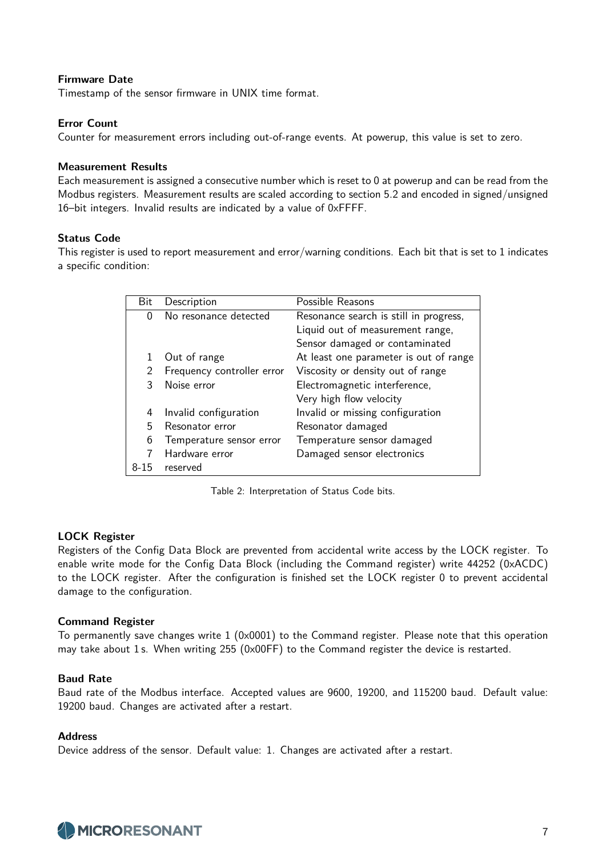#### **Firmware Date**

Timestamp of the sensor firmware in UNIX time format.

#### **Error Count**

Counter for measurement errors including out-of-range events. At powerup, this value is set to zero.

#### **Measurement Results**

Each measurement is assigned a consecutive number which is reset to 0 at powerup and can be read from the Modbus registers. Measurement results are scaled according to section 5.2 and encoded in signed/unsigned 16–bit integers. Invalid results are indicated by a value of 0xFFFF.

#### **Status Code**

This register is used to report measurement and error/warning conditions. Each bit that is set to 1 indicates a specific condition:

| Bit  | Description                | Possible Reasons                       |
|------|----------------------------|----------------------------------------|
| O    | No resonance detected      | Resonance search is still in progress, |
|      |                            | Liquid out of measurement range,       |
|      |                            | Sensor damaged or contaminated         |
|      | Out of range               | At least one parameter is out of range |
| 2    | Frequency controller error | Viscosity or density out of range      |
|      | Noise error                | Electromagnetic interference,          |
|      |                            | Very high flow velocity                |
| 4    | Invalid configuration      | Invalid or missing configuration       |
| 5    | Resonator error            | Resonator damaged                      |
| 6    | Temperature sensor error   | Temperature sensor damaged             |
|      | Hardware error             | Damaged sensor electronics             |
| 8-15 | reserved                   |                                        |

Table 2: Interpretation of Status Code bits.

#### **LOCK Register**

Registers of the Config Data Block are prevented from accidental write access by the LOCK register. To enable write mode for the Config Data Block (including the Command register) write 44252 (0xACDC) to the LOCK register. After the configuration is finished set the LOCK register 0 to prevent accidental damage to the configuration.

#### **Command Register**

To permanently save changes write  $1$  (0x0001) to the Command register. Please note that this operation may take about 1 s. When writing 255 (0x00FF) to the Command register the device is restarted.

#### **Baud Rate**

Baud rate of the Modbus interface. Accepted values are 9600, 19200, and 115200 baud. Default value: 19200 baud. Changes are activated after a restart.

#### **Address**

Device address of the sensor. Default value: 1. Changes are activated after a restart.

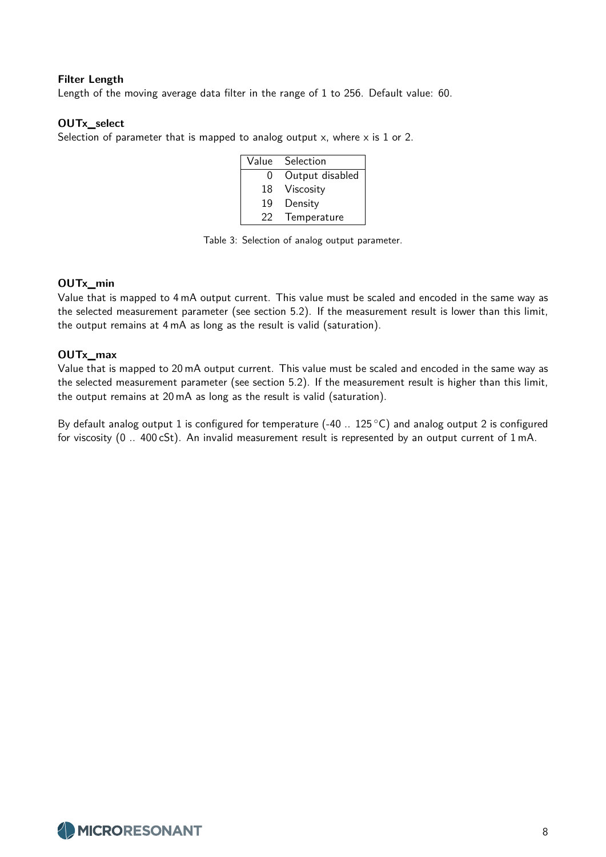#### **Filter Length**

Length of the moving average data filter in the range of 1 to 256. Default value: 60.

#### **OUTx\_select**

Selection of parameter that is mapped to analog output  $x$ , where  $x$  is 1 or 2.

| Value | Selection       |
|-------|-----------------|
| 0     | Output disabled |
| 18    | Viscosity       |
| 19    | Density         |
| 22    | Temperature     |

Table 3: Selection of analog output parameter.

#### **OUTx\_min**

Value that is mapped to 4 mA output current. This value must be scaled and encoded in the same way as the selected measurement parameter (see section 5.2). If the measurement result is lower than this limit, the output remains at 4 mA as long as the result is valid (saturation).

#### **OUTx\_max**

Value that is mapped to 20 mA output current. This value must be scaled and encoded in the same way as the selected measurement parameter (see section 5.2). If the measurement result is higher than this limit, the output remains at 20 mA as long as the result is valid (saturation).

By default analog output 1 is configured for temperature (-40  $\ldots$  125 °C) and analog output 2 is configured for viscosity (0 .. 400 cSt). An invalid measurement result is represented by an output current of 1 mA.

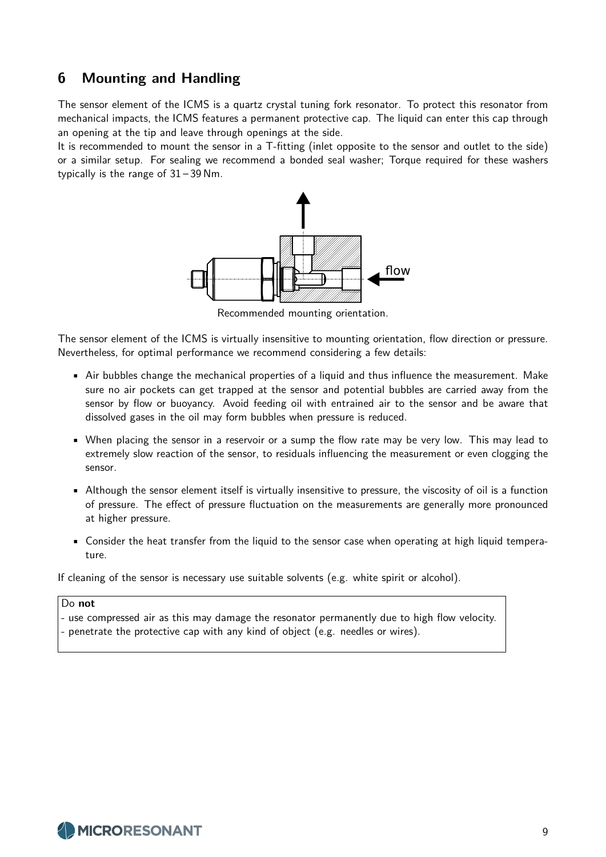### **6 Mounting and Handling**

The sensor element of the ICMS is a quartz crystal tuning fork resonator. To protect this resonator from mechanical impacts, the ICMS features a permanent protective cap. The liquid can enter this cap through an opening at the tip and leave through openings at the side.

It is recommended to mount the sensor in a T-fitting (inlet opposite to the sensor and outlet to the side) or a similar setup. For sealing we recommend a bonded seal washer; Torque required for these washers typically is the range of 31 – 39 Nm.



Recommended mounting orientation.

The sensor element of the ICMS is virtually insensitive to mounting orientation, flow direction or pressure. Nevertheless, for optimal performance we recommend considering a few details:

- Air bubbles change the mechanical properties of a liquid and thus influence the measurement. Make sure no air pockets can get trapped at the sensor and potential bubbles are carried away from the sensor by flow or buoyancy. Avoid feeding oil with entrained air to the sensor and be aware that dissolved gases in the oil may form bubbles when pressure is reduced.
- When placing the sensor in a reservoir or a sump the flow rate may be very low. This may lead to extremely slow reaction of the sensor, to residuals influencing the measurement or even clogging the sensor.
- Although the sensor element itself is virtually insensitive to pressure, the viscosity of oil is a function of pressure. The effect of pressure fluctuation on the measurements are generally more pronounced at higher pressure.
- Consider the heat transfer from the liquid to the sensor case when operating at high liquid temperature.

If cleaning of the sensor is necessary use suitable solvents (e.g. white spirit or alcohol).

#### Do **not**

- use compressed air as this may damage the resonator permanently due to high flow velocity.
- penetrate the protective cap with any kind of object (e.g. needles or wires).